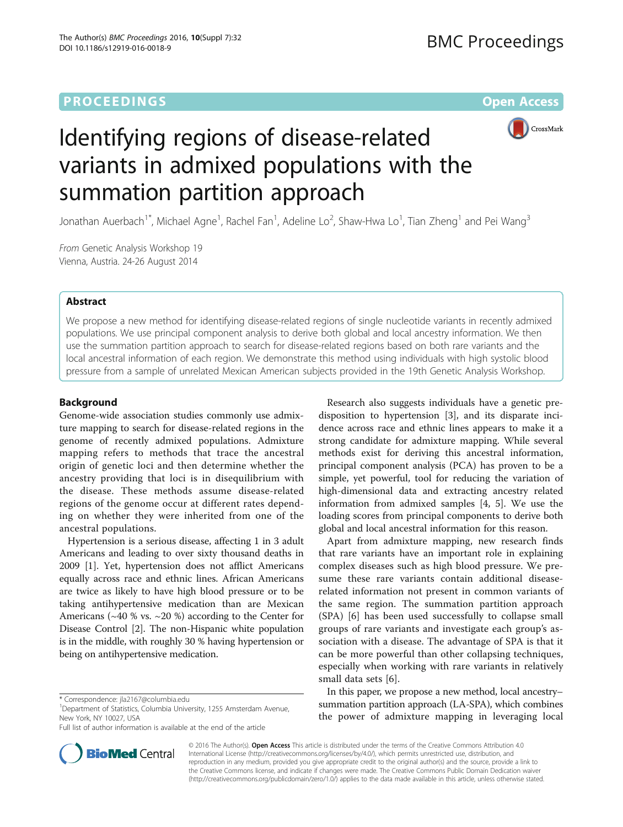## **PROCEEDINGS STATE ACCESS CONSUMING S** Open Access



# Identifying regions of disease-related variants in admixed populations with the summation partition approach

Jonathan Auerbach $^{\text{1*}}$ , Michael Agne $^{\text{1}}$ , Rachel Fan $^{\text{1}}$ , Adeline Lo $^{\text{2}}$ , Shaw-Hwa Lo $^{\text{1}}$ , Tian Zheng $^{\text{1}}$  and Pei Wang $^{\text{3}}$ 

From Genetic Analysis Workshop 19 Vienna, Austria. 24-26 August 2014

## Abstract

We propose a new method for identifying disease-related regions of single nucleotide variants in recently admixed populations. We use principal component analysis to derive both global and local ancestry information. We then use the summation partition approach to search for disease-related regions based on both rare variants and the local ancestral information of each region. We demonstrate this method using individuals with high systolic blood pressure from a sample of unrelated Mexican American subjects provided in the 19th Genetic Analysis Workshop.

## Background

Genome-wide association studies commonly use admixture mapping to search for disease-related regions in the genome of recently admixed populations. Admixture mapping refers to methods that trace the ancestral origin of genetic loci and then determine whether the ancestry providing that loci is in disequilibrium with the disease. These methods assume disease-related regions of the genome occur at different rates depending on whether they were inherited from one of the ancestral populations.

Hypertension is a serious disease, affecting 1 in 3 adult Americans and leading to over sixty thousand deaths in 2009 [\[1](#page-3-0)]. Yet, hypertension does not afflict Americans equally across race and ethnic lines. African Americans are twice as likely to have high blood pressure or to be taking antihypertensive medication than are Mexican Americans ( $\sim$ 40 % vs.  $\sim$ 20 %) according to the Center for Disease Control [\[2\]](#page-3-0). The non-Hispanic white population is in the middle, with roughly 30 % having hypertension or being on antihypertensive medication.



Apart from admixture mapping, new research finds that rare variants have an important role in explaining complex diseases such as high blood pressure. We presume these rare variants contain additional diseaserelated information not present in common variants of the same region. The summation partition approach (SPA) [[6\]](#page-3-0) has been used successfully to collapse small groups of rare variants and investigate each group's association with a disease. The advantage of SPA is that it can be more powerful than other collapsing techniques, especially when working with rare variants in relatively small data sets [[6\]](#page-3-0).

In this paper, we propose a new method, local ancestry– summation partition approach (LA-SPA), which combines the power of admixture mapping in leveraging local



© 2016 The Author(s). Open Access This article is distributed under the terms of the Creative Commons Attribution 4.0 International License [\(http://creativecommons.org/licenses/by/4.0/](http://creativecommons.org/licenses/by/4.0/)), which permits unrestricted use, distribution, and reproduction in any medium, provided you give appropriate credit to the original author(s) and the source, provide a link to the Creative Commons license, and indicate if changes were made. The Creative Commons Public Domain Dedication waiver [\(http://creativecommons.org/publicdomain/zero/1.0/](http://creativecommons.org/publicdomain/zero/1.0/)) applies to the data made available in this article, unless otherwise stated.

<sup>\*</sup> Correspondence: [jla2167@columbia.edu](mailto:jla2167@columbia.edu) <sup>1</sup>

<sup>&</sup>lt;sup>1</sup>Department of Statistics, Columbia University, 1255 Amsterdam Avenue, New York, NY 10027, USA

Full list of author information is available at the end of the article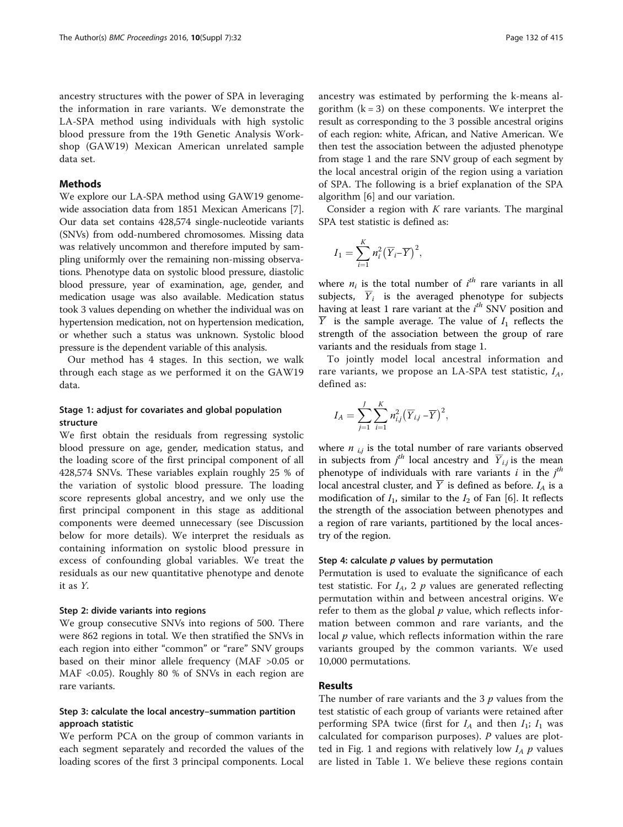ancestry structures with the power of SPA in leveraging the information in rare variants. We demonstrate the LA-SPA method using individuals with high systolic blood pressure from the 19th Genetic Analysis Workshop (GAW19) Mexican American unrelated sample data set.

## Methods

We explore our LA-SPA method using GAW19 genomewide association data from 1851 Mexican Americans [[7](#page-3-0)]. Our data set contains 428,574 single-nucleotide variants (SNVs) from odd-numbered chromosomes. Missing data was relatively uncommon and therefore imputed by sampling uniformly over the remaining non-missing observations. Phenotype data on systolic blood pressure, diastolic blood pressure, year of examination, age, gender, and medication usage was also available. Medication status took 3 values depending on whether the individual was on hypertension medication, not on hypertension medication, or whether such a status was unknown. Systolic blood pressure is the dependent variable of this analysis.

Our method has 4 stages. In this section, we walk through each stage as we performed it on the GAW19 data.

## Stage 1: adjust for covariates and global population structure

We first obtain the residuals from regressing systolic blood pressure on age, gender, medication status, and the loading score of the first principal component of all 428,574 SNVs. These variables explain roughly 25 % of the variation of systolic blood pressure. The loading score represents global ancestry, and we only use the first principal component in this stage as additional components were deemed unnecessary (see [Discussion](#page-2-0) below for more details). We interpret the residuals as containing information on systolic blood pressure in excess of confounding global variables. We treat the residuals as our new quantitative phenotype and denote it as Y.

#### Step 2: divide variants into regions

We group consecutive SNVs into regions of 500. There were 862 regions in total. We then stratified the SNVs in each region into either "common" or "rare" SNV groups based on their minor allele frequency (MAF >0.05 or MAF <0.05). Roughly 80 % of SNVs in each region are rare variants.

## Step 3: calculate the local ancestry–summation partition approach statistic

We perform PCA on the group of common variants in each segment separately and recorded the values of the loading scores of the first 3 principal components. Local ancestry was estimated by performing the k-means algorithm  $(k = 3)$  on these components. We interpret the result as corresponding to the 3 possible ancestral origins of each region: white, African, and Native American. We then test the association between the adjusted phenotype from stage 1 and the rare SNV group of each segment by the local ancestral origin of the region using a variation of SPA. The following is a brief explanation of the SPA algorithm [[6\]](#page-3-0) and our variation.

Consider a region with  $K$  rare variants. The marginal SPA test statistic is defined as:

$$
I_1 = \sum_{i=1}^K n_i^2 (\overline{Y}_{i} - \overline{Y})^2,
$$

where  $n_i$  is the total number of  $i^{th}$  rare variants in all subjects,  $\overline{Y}_i$  is the averaged phenotype for subjects having at least 1 rare variant at the  $i^{th}$  SNV position and  $\overline{Y}$  is the sample average. The value of  $I_1$  reflects the strength of the association between the group of rare variants and the residuals from stage 1.

To jointly model local ancestral information and rare variants, we propose an LA-SPA test statistic,  $I_A$ , defined as:

$$
I_A = \sum_{j=1}^J \sum_{i=1}^K n_{ij}^2 (\overline{Y}_{i,j} - \overline{Y})^2,
$$

where  $n_{i,j}$  is the total number of rare variants observed in subjects from  $j<sup>th</sup>$  local ancestry and  $\overline{Y}_{i,j}$  is the mean phenotype of individuals with rare variants  $i$  in the  $j<sup>th</sup>$ local ancestral cluster, and  $\overline{Y}$  is defined as before.  $I_A$  is a modification of  $I_1$ , similar to the  $I_2$  of Fan [[6\]](#page-3-0). It reflects the strength of the association between phenotypes and a region of rare variants, partitioned by the local ancestry of the region.

#### Step 4: calculate  $p$  values by permutation

Permutation is used to evaluate the significance of each test statistic. For  $I_A$ , 2 p values are generated reflecting permutation within and between ancestral origins. We refer to them as the global  $p$  value, which reflects information between common and rare variants, and the local  $p$  value, which reflects information within the rare variants grouped by the common variants. We used 10,000 permutations.

## Results

The number of rare variants and the 3  $p$  values from the test statistic of each group of variants were retained after performing SPA twice (first for  $I_A$  and then  $I_1$ ;  $I_1$  was calculated for comparison purposes). P values are plot-ted in Fig. [1](#page-2-0) and regions with relatively low  $I_A$   $p$  values are listed in Table [1.](#page-2-0) We believe these regions contain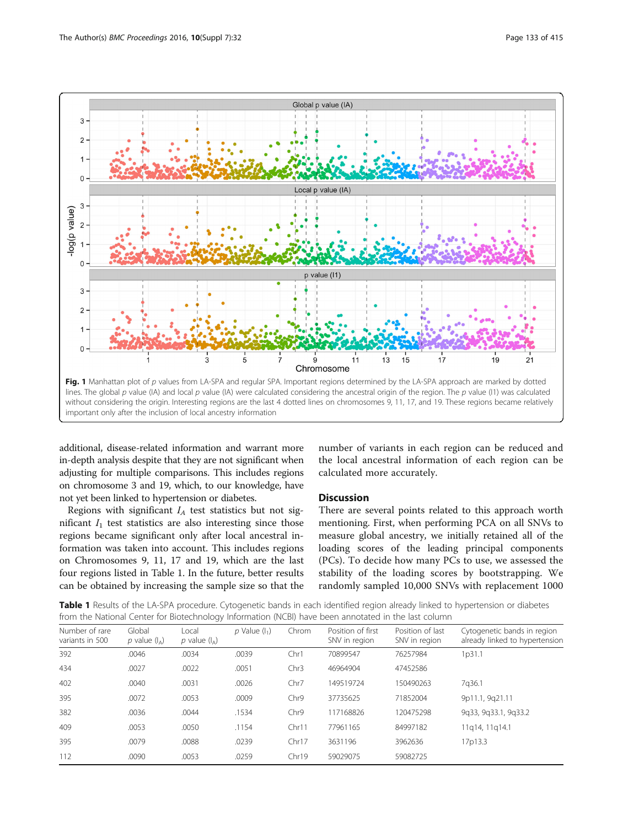<span id="page-2-0"></span>

additional, disease-related information and warrant more in-depth analysis despite that they are not significant when adjusting for multiple comparisons. This includes regions on chromosome 3 and 19, which, to our knowledge, have not yet been linked to hypertension or diabetes.

Regions with significant  $I_A$  test statistics but not significant  $I_1$  test statistics are also interesting since those regions became significant only after local ancestral information was taken into account. This includes regions on Chromosomes 9, 11, 17 and 19, which are the last four regions listed in Table 1. In the future, better results can be obtained by increasing the sample size so that the

number of variants in each region can be reduced and the local ancestral information of each region can be calculated more accurately.

## Discussion

There are several points related to this approach worth mentioning. First, when performing PCA on all SNVs to measure global ancestry, we initially retained all of the loading scores of the leading principal components (PCs). To decide how many PCs to use, we assessed the stability of the loading scores by bootstrapping. We randomly sampled 10,000 SNVs with replacement 1000

Table 1 Results of the LA-SPA procedure. Cytogenetic bands in each identified region already linked to hypertension or diabetes from the National Center for Biotechnology Information (NCBI) have been annotated in the last column

| Number of rare<br>variants in 500 | Global<br>p value $(I_A)$ | Local<br>p value $(I_A)$ | $p$ Value $(l_1)$ | Chrom | Position of first<br>SNV in region | Position of last<br>SNV in region | Cytogenetic bands in region<br>already linked to hypertension |
|-----------------------------------|---------------------------|--------------------------|-------------------|-------|------------------------------------|-----------------------------------|---------------------------------------------------------------|
| 392                               | .0046                     | .0034                    | .0039             | Chr1  | 70899547                           | 76257984                          | 1p31.1                                                        |
| 434                               | .0027                     | .0022                    | .0051             | Chr3  | 46964904                           | 47452586                          |                                                               |
| 402                               | .0040                     | .0031                    | .0026             | Chr7  | 149519724                          | 150490263                         | 7q36.1                                                        |
| 395                               | .0072                     | .0053                    | .0009             | Chr9  | 37735625                           | 71852004                          | 9p11.1, 9q21.11                                               |
| 382                               | .0036                     | .0044                    | .1534             | Chr9  | 117168826                          | 120475298                         | 9q33, 9q33.1, 9q33.2                                          |
| 409                               | .0053                     | .0050                    | .1154             | Chr11 | 77961165                           | 84997182                          | 11g14, 11g14.1                                                |
| 395                               | .0079                     | .0088                    | .0239             | Chr17 | 3631196                            | 3962636                           | 17p13.3                                                       |
| 112                               | .0090                     | .0053                    | .0259             | Chr19 | 59029075                           | 59082725                          |                                                               |